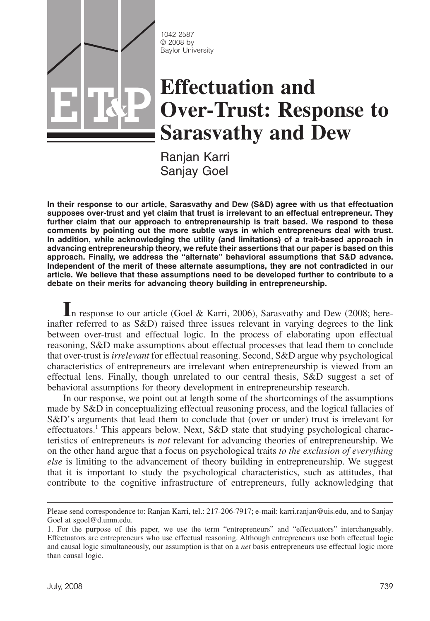

Ranjan Karri Sanjay Goel

**In their response to our article, Sarasvathy and Dew (S&D) agree with us that effectuation supposes over-trust and yet claim that trust is irrelevant to an effectual entrepreneur. They further claim that our approach to entrepreneurship is trait based. We respond to these comments by pointing out the more subtle ways in which entrepreneurs deal with trust. In addition, while acknowledging the utility (and limitations) of a trait-based approach in advancing entrepreneurship theory, we refute their assertions that our paper is based on this approach. Finally, we address the "alternate" behavioral assumptions that S&D advance. Independent of the merit of these alternate assumptions, they are not contradicted in our article. We believe that these assumptions need to be developed further to contribute to a debate on their merits for advancing theory building in entrepreneurship.**

**I**n response to our article (Goel & Karri, 2006), Sarasvathy and Dew (2008; hereinafter referred to as S&D) raised three issues relevant in varying degrees to the link between over-trust and effectual logic. In the process of elaborating upon effectual reasoning, S&D make assumptions about effectual processes that lead them to conclude that over-trust is *irrelevant* for effectual reasoning. Second, S&D argue why psychological characteristics of entrepreneurs are irrelevant when entrepreneurship is viewed from an effectual lens. Finally, though unrelated to our central thesis, S&D suggest a set of behavioral assumptions for theory development in entrepreneurship research.

In our response, we point out at length some of the shortcomings of the assumptions made by S&D in conceptualizing effectual reasoning process, and the logical fallacies of S&D's arguments that lead them to conclude that (over or under) trust is irrelevant for effectuators.<sup>1</sup> This appears below. Next, S&D state that studying psychological characteristics of entrepreneurs is *not* relevant for advancing theories of entrepreneurship. We on the other hand argue that a focus on psychological traits *to the exclusion of everything else* is limiting to the advancement of theory building in entrepreneurship. We suggest that it is important to study the psychological characteristics, such as attitudes, that contribute to the cognitive infrastructure of entrepreneurs, fully acknowledging that

Please send correspondence to: Ranjan Karri, tel.: 217-206-7917; e-mail: karri.[ranjan@uis.edu,](mailto:ranjan@uis.edu) and to Sanjay Goel at [sgoel@d.umn.edu.](mailto:sgoel@d.umn.edu)

<sup>1.</sup> For the purpose of this paper, we use the term "entrepreneurs" and "effectuators" interchangeably. Effectuators are entrepreneurs who use effectual reasoning. Although entrepreneurs use both effectual logic and causal logic simultaneously, our assumption is that on a *net* basis entrepreneurs use effectual logic more than causal logic.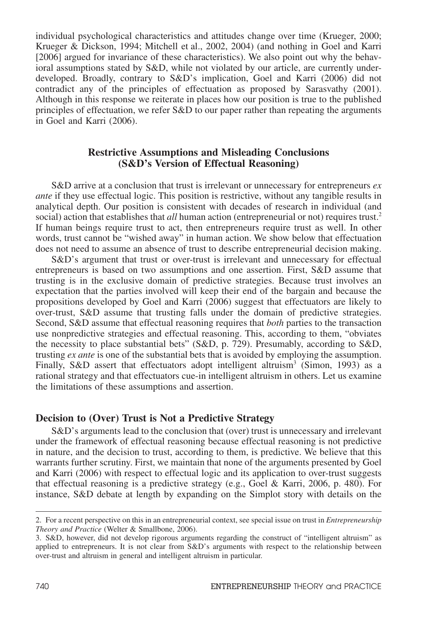individual psychological characteristics and attitudes change over time (Krueger, 2000; Krueger & Dickson, 1994; Mitchell et al., 2002, 2004) (and nothing in Goel and Karri [2006] argued for invariance of these characteristics). We also point out why the behavioral assumptions stated by S&D, while not violated by our article, are currently underdeveloped. Broadly, contrary to S&D's implication, Goel and Karri (2006) did not contradict any of the principles of effectuation as proposed by Sarasvathy (2001). Although in this response we reiterate in places how our position is true to the published principles of effectuation, we refer S&D to our paper rather than repeating the arguments in Goel and Karri (2006).

## **Restrictive Assumptions and Misleading Conclusions (S&D's Version of Effectual Reasoning)**

S&D arrive at a conclusion that trust is irrelevant or unnecessary for entrepreneurs *ex ante* if they use effectual logic. This position is restrictive, without any tangible results in analytical depth. Our position is consistent with decades of research in individual (and social) action that establishes that *all* human action (entrepreneurial or not) requires trust.<sup>2</sup> If human beings require trust to act, then entrepreneurs require trust as well. In other words, trust cannot be "wished away" in human action. We show below that effectuation does not need to assume an absence of trust to describe entrepreneurial decision making.

S&D's argument that trust or over-trust is irrelevant and unnecessary for effectual entrepreneurs is based on two assumptions and one assertion. First, S&D assume that trusting is in the exclusive domain of predictive strategies. Because trust involves an expectation that the parties involved will keep their end of the bargain and because the propositions developed by Goel and Karri (2006) suggest that effectuators are likely to over-trust, S&D assume that trusting falls under the domain of predictive strategies. Second, S&D assume that effectual reasoning requires that *both* parties to the transaction use nonpredictive strategies and effectual reasoning. This, according to them, "obviates the necessity to place substantial bets" (S&D, p. 729). Presumably, according to S&D, trusting *ex ante* is one of the substantial bets that is avoided by employing the assumption. Finally,  $S&D$  assert that effectuators adopt intelligent altruism<sup>3</sup> (Simon, 1993) as a rational strategy and that effectuators cue-in intelligent altruism in others. Let us examine the limitations of these assumptions and assertion.

### **Decision to (Over) Trust is Not a Predictive Strategy**

S&D's arguments lead to the conclusion that (over) trust is unnecessary and irrelevant under the framework of effectual reasoning because effectual reasoning is not predictive in nature, and the decision to trust, according to them, is predictive. We believe that this warrants further scrutiny. First, we maintain that none of the arguments presented by Goel and Karri (2006) with respect to effectual logic and its application to over-trust suggests that effectual reasoning is a predictive strategy (e.g., Goel & Karri, 2006, p. 480). For instance, S&D debate at length by expanding on the Simplot story with details on the

<sup>2.</sup> For a recent perspective on this in an entrepreneurial context, see special issue on trust in *Entrepreneurship Theory and Practice* (Welter & Smallbone, 2006).

<sup>3.</sup> S&D, however, did not develop rigorous arguments regarding the construct of "intelligent altruism" as applied to entrepreneurs. It is not clear from S&D's arguments with respect to the relationship between over-trust and altruism in general and intelligent altruism in particular.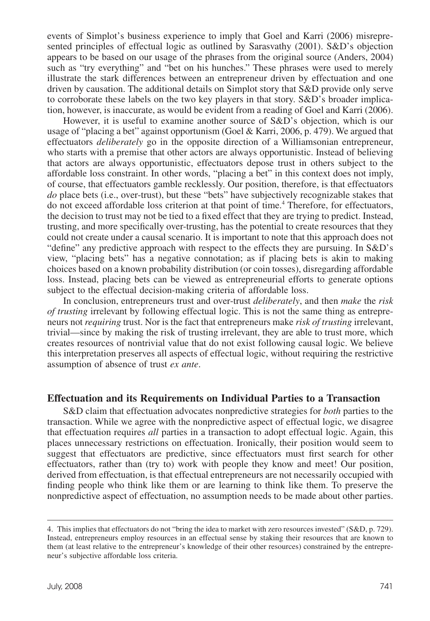events of Simplot's business experience to imply that Goel and Karri (2006) misrepresented principles of effectual logic as outlined by Sarasvathy (2001). S&D's objection appears to be based on our usage of the phrases from the original source (Anders, 2004) such as "try everything" and "bet on his hunches." These phrases were used to merely illustrate the stark differences between an entrepreneur driven by effectuation and one driven by causation. The additional details on Simplot story that S&D provide only serve to corroborate these labels on the two key players in that story. S&D's broader implication, however, is inaccurate, as would be evident from a reading of Goel and Karri (2006).

However, it is useful to examine another source of S&D's objection, which is our usage of "placing a bet" against opportunism (Goel & Karri, 2006, p. 479). We argued that effectuators *deliberately* go in the opposite direction of a Williamsonian entrepreneur, who starts with a premise that other actors are always opportunistic. Instead of believing that actors are always opportunistic, effectuators depose trust in others subject to the affordable loss constraint. In other words, "placing a bet" in this context does not imply, of course, that effectuators gamble recklessly. Our position, therefore, is that effectuators *do* place bets (i.e., over-trust), but these "bets" have subjectively recognizable stakes that do not exceed affordable loss criterion at that point of time.4 Therefore, for effectuators, the decision to trust may not be tied to a fixed effect that they are trying to predict. Instead, trusting, and more specifically over-trusting, has the potential to create resources that they could not create under a causal scenario. It is important to note that this approach does not "define" any predictive approach with respect to the effects they are pursuing. In S&D's view, "placing bets" has a negative connotation; as if placing bets is akin to making choices based on a known probability distribution (or coin tosses), disregarding affordable loss. Instead, placing bets can be viewed as entrepreneurial efforts to generate options subject to the effectual decision-making criteria of affordable loss.

In conclusion, entrepreneurs trust and over-trust *deliberately*, and then *make* the *risk of trusting* irrelevant by following effectual logic. This is not the same thing as entrepreneurs not *requiring* trust. Nor is the fact that entrepreneurs make *risk of trusting* irrelevant, trivial—since by making the risk of trusting irrelevant, they are able to trust more, which creates resources of nontrivial value that do not exist following causal logic. We believe this interpretation preserves all aspects of effectual logic, without requiring the restrictive assumption of absence of trust *ex ante*.

### **Effectuation and its Requirements on Individual Parties to a Transaction**

S&D claim that effectuation advocates nonpredictive strategies for *both* parties to the transaction. While we agree with the nonpredictive aspect of effectual logic, we disagree that effectuation requires *all* parties in a transaction to adopt effectual logic. Again, this places unnecessary restrictions on effectuation. Ironically, their position would seem to suggest that effectuators are predictive, since effectuators must first search for other effectuators, rather than (try to) work with people they know and meet! Our position, derived from effectuation, is that effectual entrepreneurs are not necessarily occupied with finding people who think like them or are learning to think like them. To preserve the nonpredictive aspect of effectuation, no assumption needs to be made about other parties.

<sup>4.</sup> This implies that effectuators do not "bring the idea to market with zero resources invested" (S&D, p. 729). Instead, entrepreneurs employ resources in an effectual sense by staking their resources that are known to them (at least relative to the entrepreneur's knowledge of their other resources) constrained by the entrepreneur's subjective affordable loss criteria.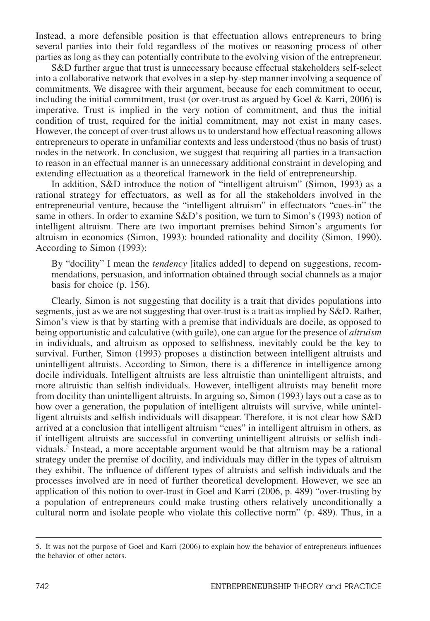Instead, a more defensible position is that effectuation allows entrepreneurs to bring several parties into their fold regardless of the motives or reasoning process of other parties as long as they can potentially contribute to the evolving vision of the entrepreneur.

S&D further argue that trust is unnecessary because effectual stakeholders self-select into a collaborative network that evolves in a step-by-step manner involving a sequence of commitments. We disagree with their argument, because for each commitment to occur, including the initial commitment, trust (or over-trust as argued by Goel & Karri, 2006) is imperative. Trust is implied in the very notion of commitment, and thus the initial condition of trust, required for the initial commitment, may not exist in many cases. However, the concept of over-trust allows us to understand how effectual reasoning allows entrepreneurs to operate in unfamiliar contexts and less understood (thus no basis of trust) nodes in the network. In conclusion, we suggest that requiring all parties in a transaction to reason in an effectual manner is an unnecessary additional constraint in developing and extending effectuation as a theoretical framework in the field of entrepreneurship.

In addition, S&D introduce the notion of "intelligent altruism" (Simon, 1993) as a rational strategy for effectuators, as well as for all the stakeholders involved in the entrepreneurial venture, because the "intelligent altruism" in effectuators "cues-in" the same in others. In order to examine S&D's position, we turn to Simon's (1993) notion of intelligent altruism. There are two important premises behind Simon's arguments for altruism in economics (Simon, 1993): bounded rationality and docility (Simon, 1990). According to Simon (1993):

By "docility" I mean the *tendency* [italics added] to depend on suggestions, recommendations, persuasion, and information obtained through social channels as a major basis for choice (p. 156).

Clearly, Simon is not suggesting that docility is a trait that divides populations into segments, just as we are not suggesting that over-trust is a trait as implied by  $S&D$ . Rather, Simon's view is that by starting with a premise that individuals are docile, as opposed to being opportunistic and calculative (with guile), one can argue for the presence of *altruism* in individuals, and altruism as opposed to selfishness, inevitably could be the key to survival. Further, Simon (1993) proposes a distinction between intelligent altruists and unintelligent altruists. According to Simon, there is a difference in intelligence among docile individuals. Intelligent altruists are less altruistic than unintelligent altruists, and more altruistic than selfish individuals. However, intelligent altruists may benefit more from docility than unintelligent altruists. In arguing so, Simon (1993) lays out a case as to how over a generation, the population of intelligent altruists will survive, while unintelligent altruists and selfish individuals will disappear. Therefore, it is not clear how S&D arrived at a conclusion that intelligent altruism "cues" in intelligent altruism in others, as if intelligent altruists are successful in converting unintelligent altruists or selfish individuals.<sup>5</sup> Instead, a more acceptable argument would be that altruism may be a rational strategy under the premise of docility, and individuals may differ in the types of altruism they exhibit. The influence of different types of altruists and selfish individuals and the processes involved are in need of further theoretical development. However, we see an application of this notion to over-trust in Goel and Karri (2006, p. 489) "over-trusting by a population of entrepreneurs could make trusting others relatively unconditionally a cultural norm and isolate people who violate this collective norm" (p. 489). Thus, in a

<sup>5.</sup> It was not the purpose of Goel and Karri (2006) to explain how the behavior of entrepreneurs influences the behavior of other actors.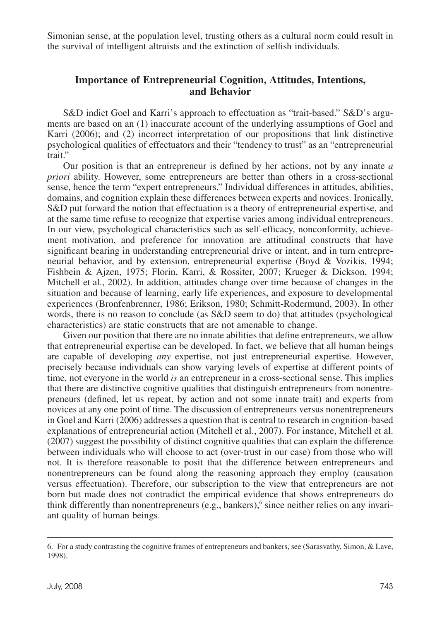Simonian sense, at the population level, trusting others as a cultural norm could result in the survival of intelligent altruists and the extinction of selfish individuals.

## **Importance of Entrepreneurial Cognition, Attitudes, Intentions, and Behavior**

S&D indict Goel and Karri's approach to effectuation as "trait-based." S&D's arguments are based on an (1) inaccurate account of the underlying assumptions of Goel and Karri (2006); and (2) incorrect interpretation of our propositions that link distinctive psychological qualities of effectuators and their "tendency to trust" as an "entrepreneurial trait."

Our position is that an entrepreneur is defined by her actions, not by any innate *a priori* ability. However, some entrepreneurs are better than others in a cross-sectional sense, hence the term "expert entrepreneurs." Individual differences in attitudes, abilities, domains, and cognition explain these differences between experts and novices. Ironically, S&D put forward the notion that effectuation is a theory of entrepreneurial expertise, and at the same time refuse to recognize that expertise varies among individual entrepreneurs. In our view, psychological characteristics such as self-efficacy, nonconformity, achievement motivation, and preference for innovation are attitudinal constructs that have significant bearing in understanding entrepreneurial drive or intent, and in turn entrepreneurial behavior, and by extension, entrepreneurial expertise (Boyd & Vozikis, 1994; Fishbein & Ajzen, 1975; Florin, Karri, & Rossiter, 2007; Krueger & Dickson, 1994; Mitchell et al., 2002). In addition, attitudes change over time because of changes in the situation and because of learning, early life experiences, and exposure to developmental experiences (Bronfenbrenner, 1986; Erikson, 1980; Schmitt-Rodermund, 2003). In other words, there is no reason to conclude (as S&D seem to do) that attitudes (psychological characteristics) are static constructs that are not amenable to change.

Given our position that there are no innate abilities that define entrepreneurs, we allow that entrepreneurial expertise can be developed. In fact, we believe that all human beings are capable of developing *any* expertise, not just entrepreneurial expertise. However, precisely because individuals can show varying levels of expertise at different points of time, not everyone in the world *is* an entrepreneur in a cross-sectional sense. This implies that there are distinctive cognitive qualities that distinguish entrepreneurs from nonentrepreneurs (defined, let us repeat, by action and not some innate trait) and experts from novices at any one point of time. The discussion of entrepreneurs versus nonentrepreneurs in Goel and Karri (2006) addresses a question that is central to research in cognition-based explanations of entrepreneurial action (Mitchell et al., 2007). For instance, Mitchell et al. (2007) suggest the possibility of distinct cognitive qualities that can explain the difference between individuals who will choose to act (over-trust in our case) from those who will not. It is therefore reasonable to posit that the difference between entrepreneurs and nonentrepreneurs can be found along the reasoning approach they employ (causation versus effectuation). Therefore, our subscription to the view that entrepreneurs are not born but made does not contradict the empirical evidence that shows entrepreneurs do think differently than nonentrepreneurs (e.g., bankers),<sup>6</sup> since neither relies on any invariant quality of human beings.

<sup>6.</sup> For a study contrasting the cognitive frames of entrepreneurs and bankers, see (Sarasvathy, Simon, & Lave, 1998).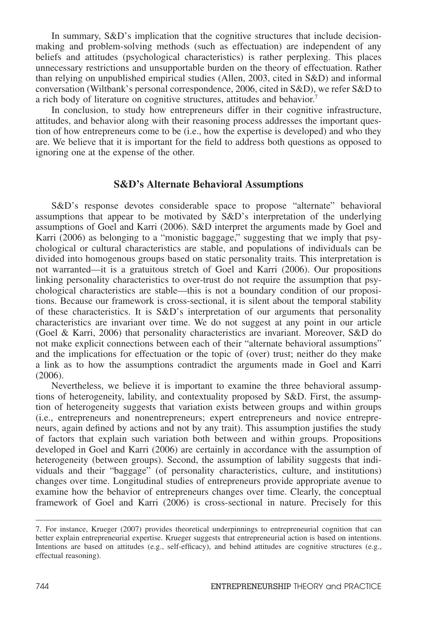In summary, S&D's implication that the cognitive structures that include decisionmaking and problem-solving methods (such as effectuation) are independent of any beliefs and attitudes (psychological characteristics) is rather perplexing. This places unnecessary restrictions and unsupportable burden on the theory of effectuation. Rather than relying on unpublished empirical studies (Allen, 2003, cited in S&D) and informal conversation (Wiltbank's personal correspondence, 2006, cited in S&D), we refer S&D to a rich body of literature on cognitive structures, attitudes and behavior.<sup>7</sup>

In conclusion, to study how entrepreneurs differ in their cognitive infrastructure, attitudes, and behavior along with their reasoning process addresses the important question of how entrepreneurs come to be (i.e., how the expertise is developed) and who they are. We believe that it is important for the field to address both questions as opposed to ignoring one at the expense of the other.

# **S&D's Alternate Behavioral Assumptions**

S&D's response devotes considerable space to propose "alternate" behavioral assumptions that appear to be motivated by S&D's interpretation of the underlying assumptions of Goel and Karri (2006). S&D interpret the arguments made by Goel and Karri (2006) as belonging to a "monistic baggage," suggesting that we imply that psychological or cultural characteristics are stable, and populations of individuals can be divided into homogenous groups based on static personality traits. This interpretation is not warranted—it is a gratuitous stretch of Goel and Karri (2006). Our propositions linking personality characteristics to over-trust do not require the assumption that psychological characteristics are stable—this is not a boundary condition of our propositions. Because our framework is cross-sectional, it is silent about the temporal stability of these characteristics. It is S&D's interpretation of our arguments that personality characteristics are invariant over time. We do not suggest at any point in our article (Goel & Karri, 2006) that personality characteristics are invariant. Moreover, S&D do not make explicit connections between each of their "alternate behavioral assumptions" and the implications for effectuation or the topic of (over) trust; neither do they make a link as to how the assumptions contradict the arguments made in Goel and Karri (2006).

Nevertheless, we believe it is important to examine the three behavioral assumptions of heterogeneity, lability, and contextuality proposed by S&D. First, the assumption of heterogeneity suggests that variation exists between groups and within groups (i.e., entrepreneurs and nonentrepreneurs; expert entrepreneurs and novice entrepreneurs, again defined by actions and not by any trait). This assumption justifies the study of factors that explain such variation both between and within groups. Propositions developed in Goel and Karri (2006) are certainly in accordance with the assumption of heterogeneity (between groups). Second, the assumption of lability suggests that individuals and their "baggage" (of personality characteristics, culture, and institutions) changes over time. Longitudinal studies of entrepreneurs provide appropriate avenue to examine how the behavior of entrepreneurs changes over time. Clearly, the conceptual framework of Goel and Karri (2006) is cross-sectional in nature. Precisely for this

<sup>7.</sup> For instance, Krueger (2007) provides theoretical underpinnings to entrepreneurial cognition that can better explain entrepreneurial expertise. Krueger suggests that entrepreneurial action is based on intentions. Intentions are based on attitudes (e.g., self-efficacy), and behind attitudes are cognitive structures (e.g., effectual reasoning).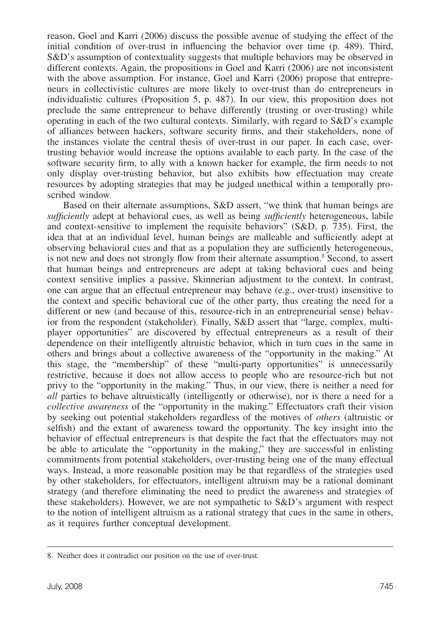reason, Goel and Karri (2006) discuss the possible avenue of studying the effect of the initial condition of over-trust in influencing the behavior over time (p. 489). Third, S&D's assumption of contextuality suggests that multiple behaviors may be observed in different contexts. Again, the propositions in Goel and Karri (2006) are not inconsistent with the above assumption. For instance, Goel and Karri (2006) propose that entrepreneurs in collectivistic cultures are more likely to over-trust than do entrepreneurs in individualistic cultures (Proposition 5, p. 487). In our view, this proposition does not preclude the same entrepreneur to behave differently (trusting or over-trusting) while operating in each of the two cultural contexts. Similarly, with regard to S&D's example of alliances between hackers, software security firms, and their stakeholders, none of the instances violate the central thesis of over-trust in our paper. In each case, overtrusting behavior would increase the options available to each party. In the case of the software security firm, to ally with a known hacker for example, the firm needs to not only display over-trusting behavior, but also exhibits how effectuation may create resources by adopting strategies that may be judged unethical within a temporally proscribed window.

Based on their alternate assumptions, S&D assert, "we think that human beings are *sufficiently* adept at behavioral cues, as well as being *sufficiently* heterogeneous, labile and context-sensitive to implement the requisite behaviors" (S&D, p. 735). First, the idea that at an individual level, human beings are malleable and sufficiently adept at observing behavioral cues and that as a population they are sufficiently heterogeneous, is not new and does not strongly flow from their alternate assumption.<sup>8</sup> Second, to assert that human beings and entrepreneurs are adept at taking behavioral cues and being context sensitive implies a passive, Skinnerian adjustment to the context. In contrast, one can argue that an effectual entrepreneur may behave (e.g., over-trust) insensitive to the context and specific behavioral cue of the other party, thus creating the need for a different or new (and because of this, resource-rich in an entrepreneurial sense) behavior from the respondent (stakeholder). Finally, S&D assert that "large, complex, multiplayer opportunities" are discovered by effectual entrepreneurs as a result of their dependence on their intelligently altruistic behavior, which in turn cues in the same in others and brings about a collective awareness of the "opportunity in the making." At this stage, the "membership" of these "multi-party opportunities" is unnecessarily restrictive, because it does not allow access to people who are resource-rich but not privy to the "opportunity in the making." Thus, in our view, there is neither a need for *all* parties to behave altruistically (intelligently or otherwise), nor is there a need for a *collective awareness* of the "opportunity in the making." Effectuators craft their vision by seeking out potential stakeholders regardless of the motives of *others* (altruistic or selfish) and the extant of awareness toward the opportunity. The key insight into the behavior of effectual entrepreneurs is that despite the fact that the effectuators may not be able to articulate the "opportunity in the making," they are successful in enlisting commitments from potential stakeholders, over-trusting being one of the many effectual ways. Instead, a more reasonable position may be that regardless of the strategies used by other stakeholders, for effectuators, intelligent altruism may be a rational dominant strategy (and therefore eliminating the need to predict the awareness and strategies of these stakeholders). However, we are not sympathetic to S&D's argument with respect to the notion of intelligent altruism as a rational strategy that cues in the same in others, as it requires further conceptual development.

<sup>8.</sup> Neither does it contradict our position on the use of over-trust.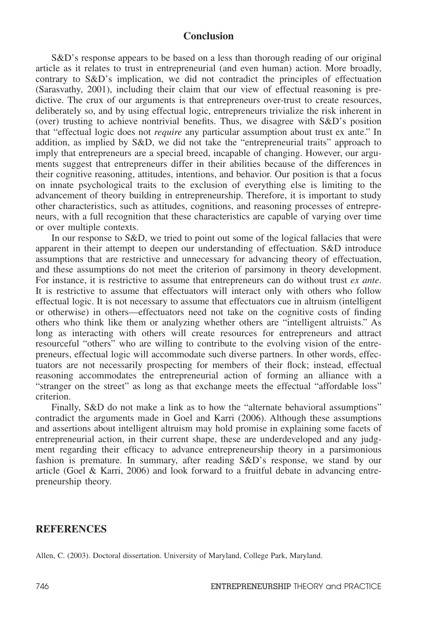### **Conclusion**

S&D's response appears to be based on a less than thorough reading of our original article as it relates to trust in entrepreneurial (and even human) action. More broadly, contrary to S&D's implication, we did not contradict the principles of effectuation (Sarasvathy, 2001), including their claim that our view of effectual reasoning is predictive. The crux of our arguments is that entrepreneurs over-trust to create resources, deliberately so, and by using effectual logic, entrepreneurs trivialize the risk inherent in (over) trusting to achieve nontrivial benefits. Thus, we disagree with S&D's position that "effectual logic does not *require* any particular assumption about trust ex ante." In addition, as implied by S&D, we did not take the "entrepreneurial traits" approach to imply that entrepreneurs are a special breed, incapable of changing. However, our arguments suggest that entrepreneurs differ in their abilities because of the differences in their cognitive reasoning, attitudes, intentions, and behavior. Our position is that a focus on innate psychological traits to the exclusion of everything else is limiting to the advancement of theory building in entrepreneurship. Therefore, it is important to study other characteristics, such as attitudes, cognitions, and reasoning processes of entrepreneurs, with a full recognition that these characteristics are capable of varying over time or over multiple contexts.

In our response to S&D, we tried to point out some of the logical fallacies that were apparent in their attempt to deepen our understanding of effectuation. S&D introduce assumptions that are restrictive and unnecessary for advancing theory of effectuation, and these assumptions do not meet the criterion of parsimony in theory development. For instance, it is restrictive to assume that entrepreneurs can do without trust *ex ante*. It is restrictive to assume that effectuators will interact only with others who follow effectual logic. It is not necessary to assume that effectuators cue in altruism (intelligent or otherwise) in others—effectuators need not take on the cognitive costs of finding others who think like them or analyzing whether others are "intelligent altruists." As long as interacting with others will create resources for entrepreneurs and attract resourceful "others" who are willing to contribute to the evolving vision of the entrepreneurs, effectual logic will accommodate such diverse partners. In other words, effectuators are not necessarily prospecting for members of their flock; instead, effectual reasoning accommodates the entrepreneurial action of forming an alliance with a "stranger on the street" as long as that exchange meets the effectual "affordable loss" criterion.

Finally, S&D do not make a link as to how the "alternate behavioral assumptions" contradict the arguments made in Goel and Karri (2006). Although these assumptions and assertions about intelligent altruism may hold promise in explaining some facets of entrepreneurial action, in their current shape, these are underdeveloped and any judgment regarding their efficacy to advance entrepreneurship theory in a parsimonious fashion is premature. In summary, after reading S&D's response, we stand by our article (Goel & Karri, 2006) and look forward to a fruitful debate in advancing entrepreneurship theory.

### **REFERENCES**

Allen, C. (2003). Doctoral dissertation. University of Maryland, College Park, Maryland.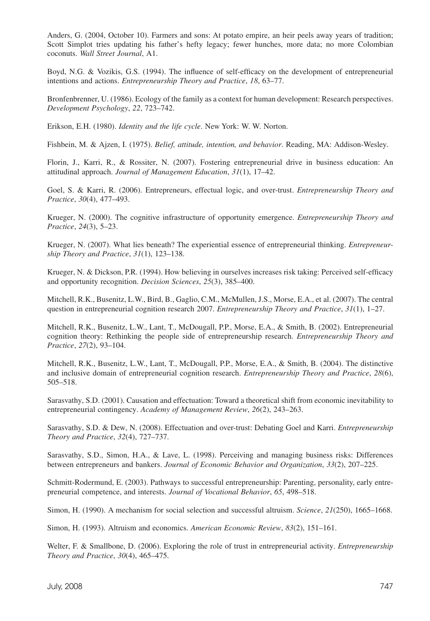Anders, G. (2004, October 10). Farmers and sons: At potato empire, an heir peels away years of tradition; Scott Simplot tries updating his father's hefty legacy; fewer hunches, more data; no more Colombian coconuts. *Wall Street Journal*, A1.

Boyd, N.G. & Vozikis, G.S. (1994). The influence of self-efficacy on the development of entrepreneurial intentions and actions. *Entrepreneurship Theory and Practice*, *18*, 63–77.

Bronfenbrenner, U. (1986). Ecology of the family as a context for human development: Research perspectives. *Development Psychology*, *22*, 723–742.

Erikson, E.H. (1980). *Identity and the life cycle*. New York: W. W. Norton.

Fishbein, M. & Ajzen, I. (1975). *Belief, attitude, intention, and behavior*. Reading, MA: Addison-Wesley.

Florin, J., Karri, R., & Rossiter, N. (2007). Fostering entrepreneurial drive in business education: An attitudinal approach. *Journal of Management Education*, *31*(1), 17–42.

Goel, S. & Karri, R. (2006). Entrepreneurs, effectual logic, and over-trust. *Entrepreneurship Theory and Practice*, *30*(4), 477–493.

Krueger, N. (2000). The cognitive infrastructure of opportunity emergence. *Entrepreneurship Theory and Practice*, *24*(3), 5–23.

Krueger, N. (2007). What lies beneath? The experiential essence of entrepreneurial thinking. *Entrepreneurship Theory and Practice*, *31*(1), 123–138.

Krueger, N. & Dickson, P.R. (1994). How believing in ourselves increases risk taking: Perceived self-efficacy and opportunity recognition. *Decision Sciences*, *25*(3), 385–400.

Mitchell, R.K., Busenitz, L.W., Bird, B., Gaglio, C.M., McMullen, J.S., Morse, E.A., et al. (2007). The central question in entrepreneurial cognition research 2007. *Entrepreneurship Theory and Practice*, *31*(1), 1–27.

Mitchell, R.K., Busenitz, L.W., Lant, T., McDougall, P.P., Morse, E.A., & Smith, B. (2002). Entrepreneurial cognition theory: Rethinking the people side of entrepreneurship research. *Entrepreneurship Theory and Practice*, *27*(2), 93–104.

Mitchell, R.K., Busenitz, L.W., Lant, T., McDougall, P.P., Morse, E.A., & Smith, B. (2004). The distinctive and inclusive domain of entrepreneurial cognition research. *Entrepreneurship Theory and Practice*, *28*(6), 505–518.

Sarasvathy, S.D. (2001). Causation and effectuation: Toward a theoretical shift from economic inevitability to entrepreneurial contingency. *Academy of Management Review*, *26*(2), 243–263.

Sarasvathy, S.D. & Dew, N. (2008). Effectuation and over-trust: Debating Goel and Karri. *Entrepreneurship Theory and Practice*, *32*(4), 727–737.

Sarasvathy, S.D., Simon, H.A., & Lave, L. (1998). Perceiving and managing business risks: Differences between entrepreneurs and bankers. *Journal of Economic Behavior and Organization*, *33*(2), 207–225.

Schmitt-Rodermund, E. (2003). Pathways to successful entrepreneurship: Parenting, personality, early entrepreneurial competence, and interests. *Journal of Vocational Behavior*, *65*, 498–518.

Simon, H. (1990). A mechanism for social selection and successful altruism. *Science*, *21*(250), 1665–1668.

Simon, H. (1993). Altruism and economics. *American Economic Review*, *83*(2), 151–161.

Welter, F. & Smallbone, D. (2006). Exploring the role of trust in entrepreneurial activity. *Entrepreneurship Theory and Practice*, *30*(4), 465–475.